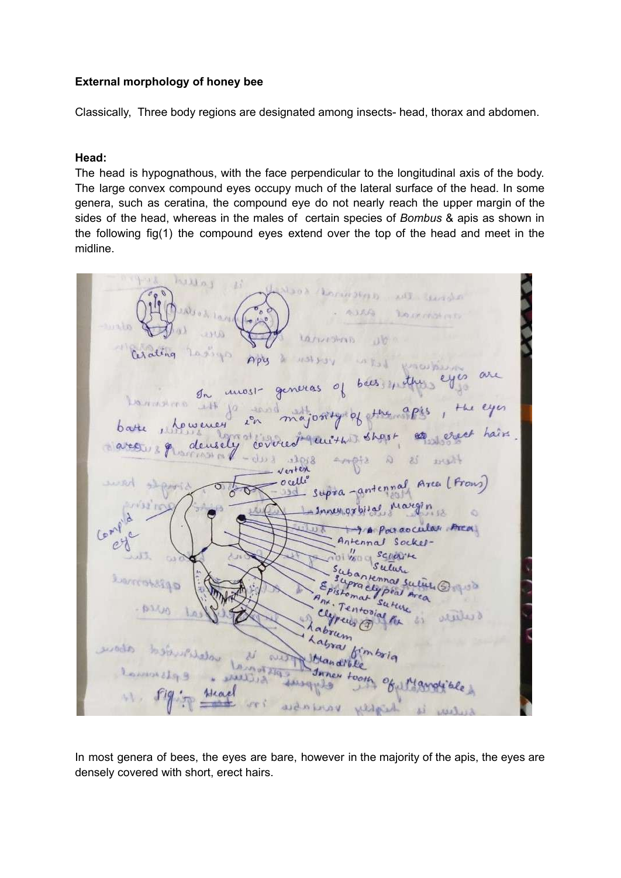## **External morphology of honey bee**

Classically, Three body regions are designated among insects- head, thorax and abdomen.

#### **Head:**

The head is hypognathous, with the face perpendicular to the longitudinal axis of the body. The large convex compound eyes occupy much of the lateral surface of the head. In some genera, such as ceratina, the compound eye do not nearly reach the upper margin of the sides of the head, whereas in the males of certain species of *Bombus* & apis as shown in the following fig(1) the compound eyes extend over the top of the head and meet in the midline.

hullnj LativeShrip arating  $1134308$ neras unost **January**  $+14$ ocelle Area (Prous an  $n * A$ araocular Area Antennal Socker-P. SCLEWILL VEC CE sutur Hennas suling apisteme ntoaia antes d سماله 23 pis for vanjagu Wild

In most genera of bees, the eyes are bare, however in the majority of the apis, the eyes are densely covered with short, erect hairs.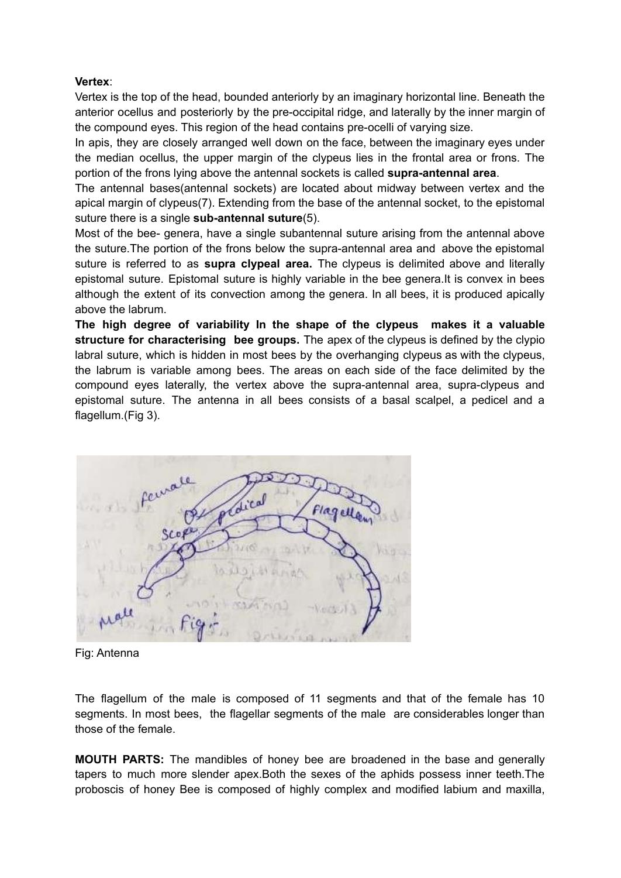## **Vertex**:

Vertex is the top of the head, bounded anteriorly by an imaginary horizontal line. Beneath the anterior ocellus and posteriorly by the pre-occipital ridge, and laterally by the inner margin of the compound eyes. This region of the head contains pre-ocelli of varying size.

In apis, they are closely arranged well down on the face, between the imaginary eyes under the median ocellus, the upper margin of the clypeus lies in the frontal area or frons. The portion of the frons lying above the antennal sockets is called **supra-antennal area**.

The antennal bases(antennal sockets) are located about midway between vertex and the apical margin of clypeus(7). Extending from the base of the antennal socket, to the epistomal suture there is a single **sub-antennal suture**(5).

Most of the bee- genera, have a single subantennal suture arising from the antennal above the suture.The portion of the frons below the supra-antennal area and above the epistomal suture is referred to as **supra clypeal area.** The clypeus is delimited above and literally epistomal suture. Epistomal suture is highly variable in the bee genera.It is convex in bees although the extent of its convection among the genera. In all bees, it is produced apically above the labrum.

**The high degree of variability In the shape of the clypeus makes it a valuable structure for characterising bee groups.** The apex of the clypeus is defined by the clypio labral suture, which is hidden in most bees by the overhanging clypeus as with the clypeus, the labrum is variable among bees. The areas on each side of the face delimited by the compound eyes laterally, the vertex above the supra-antennal area, supra-clypeus and epistomal suture. The antenna in all bees consists of a basal scalpel, a pedicel and a flagellum.(Fig 3).



Fig: Antenna

The flagellum of the male is composed of 11 segments and that of the female has 10 segments. In most bees, the flagellar segments of the male are considerables longer than those of the female.

**MOUTH PARTS:** The mandibles of honey bee are broadened in the base and generally tapers to much more slender apex.Both the sexes of the aphids possess inner teeth.The proboscis of honey Bee is composed of highly complex and modified labium and maxilla,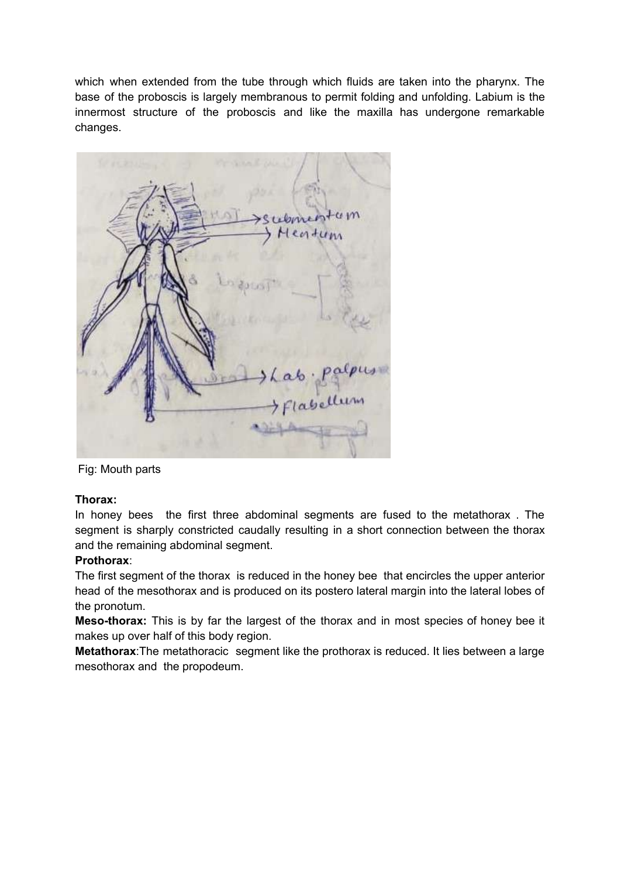which when extended from the tube through which fluids are taken into the pharynx. The base of the proboscis is largely membranous to permit folding and unfolding. Labium is the innermost structure of the proboscis and like the maxilla has undergone remarkable changes.



Fig: Mouth parts

### **Thorax:**

In honey bees the first three abdominal segments are fused to the metathorax . The segment is sharply constricted caudally resulting in a short connection between the thorax and the remaining abdominal segment.

# **Prothorax**:

The first segment of the thorax is reduced in the honey bee that encircles the upper anterior head of the mesothorax and is produced on its postero lateral margin into the lateral lobes of the pronotum.

**Meso-thorax:** This is by far the largest of the thorax and in most species of honey bee it makes up over half of this body region.

**Metathorax**:The metathoracic segment like the prothorax is reduced. It lies between a large mesothorax and the propodeum.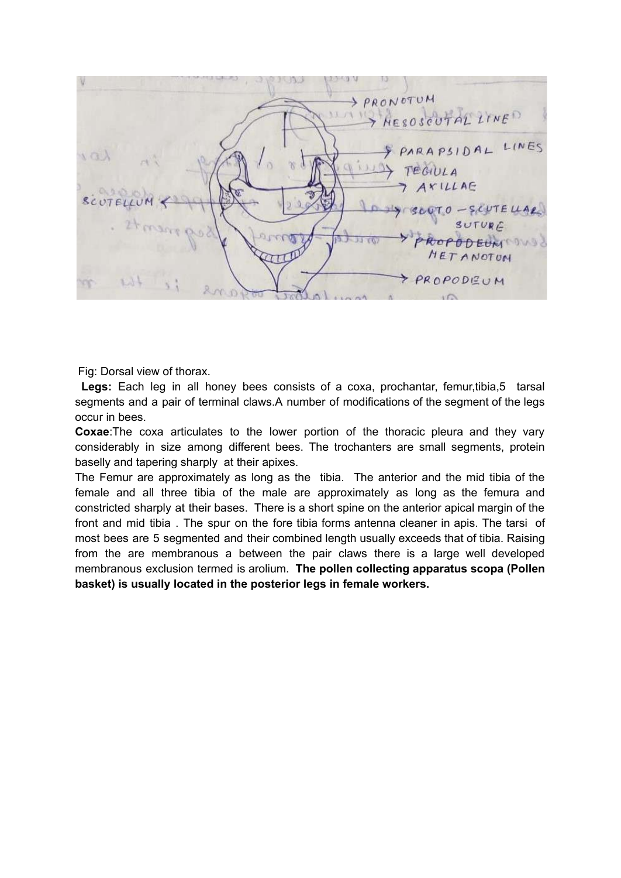

Fig: Dorsal view of thorax.

**Legs:** Each leg in all honey bees consists of a coxa, prochantar, femur,tibia,5 tarsal segments and a pair of terminal claws.A number of modifications of the segment of the legs occur in bees.

**Coxae**:The coxa articulates to the lower portion of the thoracic pleura and they vary considerably in size among different bees. The trochanters are small segments, protein baselly and tapering sharply at their apixes.

The Femur are approximately as long as the tibia. The anterior and the mid tibia of the female and all three tibia of the male are approximately as long as the femura and constricted sharply at their bases. There is a short spine on the anterior apical margin of the front and mid tibia . The spur on the fore tibia forms antenna cleaner in apis. The tarsi of most bees are 5 segmented and their combined length usually exceeds that of tibia. Raising from the are membranous a between the pair claws there is a large well developed membranous exclusion termed is arolium. **The pollen collecting apparatus scopa (Pollen basket) is usually located in the posterior legs in female workers.**